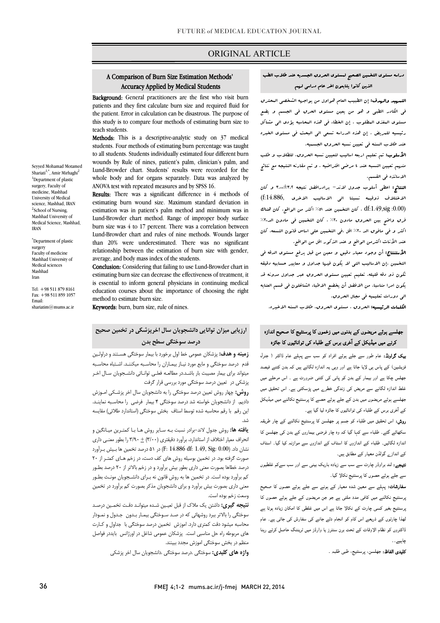### ORIGINAL ARTICLE

## A Comparison of Burn Size Estimation Methods' Accuracy Applied by Medical Students

Ī

Background: General practitioners are the first who visit burn the patient. Error in calculation can be disastrous. The purpose of this study is to compare four methods of estimating burn size to patients and they first calculate burn size and required fluid for teach students.

teacn students.<br>**Methods:** This is a descriptive-analytic study on 37 medical students. Four methods of estimating burn percentage was taught to all students. Students individually estimated four different burn wounds by Rule of nines, patient's palm, clinician's palm, and whole body and for organs separately. Data was analyzed by ANOVA test with repeated measures and by SPSS 16. Lund-Browder chart. Students' results were recorded for the

**Results:** There was a significant difference in 4 methods of estimating Barri would state. Maximum startiality deviation in estimation was in patient's palm method and minimum was in Lund-Browder chart method. Range of improper body surface burn size was 4 to 17 percent. There was a correlation between than 20% were underestimated. There was no significant relationship between the estimation of burn size with gender, average, and body mass index of the students. estimating burn wound size. Maximum standard deviation in Lund-Browder chart and rules of nine methods. Wounds larger

 estimating burn size can decrease the effectiveness of treatment, it is essential to inform general physicians in continuing medical education courses about the importance of choosing the right Conclusion: Considering that failing to use Lund-Browder chart in method to estimate burn size.

Keywords: burn, burn size, rule of nines.

# **ارزیابی میزان توانایی دانشجویان سال اخرپزشکی در تخمین صحیح درصد سوختگی سطح بدن**

 **زمینه و هدف:** پزشکان عمومی خط اول برخورد با بیمار سوختگی هسـتند و دراولـین قدم درصد سوختگی و مایع مورد نیـاز بیمـاران را محاسـبه میکننـد . اشـتباه محاسـبه بپوست برای بیمار مسیبت بار باست...را مساعت مسی اواب<br>پزشکی در آتعیین درصد سوختگی مورد بررسی قرار گرفت میتواند براي بیمار مصیبت بار باشـد .در مطالعـه فعلـی توانـائی دانشـجویان سـال اخـر

 **روش:** چهار روش تعیین درصد سوختگی را به دانشجویان سال اخر پزشـکی امـوزش دادیم. از دانشجویان خواسته شد درصد سوختگی 4 بیمار فرضی را محاسـبه نماینـد . این رقم با رقم محاسبه شده توسط استاف بخش سوختگی (استاندارد طلائی) مقایسه شد.

 **یافته ها:** روش جدول لاند-برادر نسبت بـه سـایر روش هـا بـا کمتـرین میـانگین و انحراف معیار اختلاف از استاندارد، برآورد دقیقتري (3/00) + 3/90 را بطور معنـی داري نشان داد. (0.00 :F: 14.886 df 1.49, Sig) در ۵۱ درصد تخمین ها بـیش بـرآورد درورد درصد بود. در حسین بوسید روس منی عبد مست در راهم منی مستر از این برا<br>درصد خطاها بصورت معنی داری بطور بیش برآورد و در زخم بالاتر از ۲۰ درصد بطـور کم برآورد بوده است. در تخمین ها به روش قانون نه بـراي دانشـجویان مونـث بطـ ور معنی داري بصورت بیش برآورد و براي دانشجویان مذکر بصورت کم برآورد در تخمین صورت گرفته بود. در تخمین بوسیله روش هاي کف دست، در زخم هـاي کمتـر از 20 وسعت زخم بوده است.

 **نتیجه گیري:** داشتن یک ملاك از قبل تعیـین شـده میتوانـد دقـت تخمـین درصـد سوختگی را بالاتر ببرد روشهائی که در صـد سـوختگی بیمـار بـدون جـدول و نمـودا ر محاسبه میشود دقت کمتري دارد. اموزش تخمین درصد سوختگی با جداول و کـار ت منی مربوت ره من سمسی مست. پرستان سا<br>منظم در بخش سوختگی اموزش مجدد ببینند. هاي مربوطه راه حل مناسبی است. پزشکان عمومی شاغل در اورژانس بایددر فواصل

**واژه هاي کلیدي:** سوختگی .درصد سوختگی .دانشجویان سال اخر پزشکی

# دراسه مستوي التخمین الصحیح لمستوي الحروق الجسدیه عند طلاب الطب الذین کانوا یتابعون اخر عام دراسی لهم

I

 التمهید والهدف: إن الطبیب العام هواول من یواجهه الشخصی المحترق فی الکادر الطبی و هو من یعین مستوي الحرق فی الجسم و یضع مستوي المغذي المطلوب . إن الخطاء فی هذه المحاسبه یؤدي الی مشاکل رئیسیه للمریض . إن هذه الدراسه تسعی الی البحث فی مستوي الخبره عند طلاب السنه فی تعیین نسبه الحروق الجسمیه.

 الأسلوب: تم تعلیم اربعه اسالیب لتعیین نسبه الحروق، للطلاب و طلب منهم تعیین النسبه عند 4 مرضی افتراضیه . و تم مقارنه النتیجه مع نتائج الاساتذه فی القسم.

 النتائج: اعطی أسلوب جدول لاند- برادرافضل نتیجه 3.00±3.2 و کان الاختلاف ذوقیىه نسبتا ال<sub>ى</sub> الاسالیب الاخرى ,f:14.886) د df:1.49,sig ، کان التخبین عند ٥١% اکثر من الواقع، کان هناك ، کان هناك  $\,$ .<br>فرق واضح بین الحروق مادون ہ؟ ؒ ، کان التخبین فی مادون الد•؟ ؒ اکثر و فی مافوق الد %20 اقل .فی التخمین علی اساس قانون التسعه، کان عند الأناث اکثرمن الواقع و عند الذکور اقل من الواقع.

 الأستنتاج: أن وجود معیار دقیق و معین من قبل یرفع مستوي الدقه فی التخمین .إن الاسالیب التی لا یکون فیها جداول و معاییر حسابیه دقیقه تکون ذو دقه قلیله. تعلیم تعیین مستوي الحروق عبر جداول مدونه قد یکون امرا مناسبا. من الافضل أن یخضع الاطباء الشاغلون فی قسم العنایه الی دورات تعلیمیه فی مجال الحروق.

الکلمات الرئیسیه: الحروق ، مستوي الحروق، طلاب السنه الاخیره.

## جھلسے ہوئے مریضوں کے بدنوں میں زخموں کا پرسنٹیج کا صحیح اندازہ کرنے میں میڈیکل کے آخری برس کے طلباء کی توانائیوں کا جائزہ

**یپک گراونڈ:** عام طور سے جلے ہوئے افراد کو سب سے پہلے عام ڈاکٹر ( جنرل نزیشین) کے پاس ہی لایا جاتا ہے اور وہی یہ اندازہ لگاتے ہیں کہ بدن کتنے فیصد جھلس چکا ہے اور بیمار کے بدن کو پانی کی کتنی ضرورت ہے ۔ اس مرحلے میں فلط اندازہ لگانے سے مریض کی زندگی خطرے میں پڑسکتی ہے۔ اس تحقیق میں جھلسے ہوئے مریضوں میں بدن کے جلے ہوئے حصے کا پرسنٹیج نکالنے میں میڈیکل کے آخری برس کے طلباء کی توانائیوں کا جائزہ لیا گیا ہے۔

ر**وش:** اس تحقیق میں طلباء کو جسم پر جھلسن کا پرسنٹیج نکالنے کے چار طریقہ سکھائے گئے۔ طلباء سے کہا گیا کہ وہ چار فرضی بیماروں کے بدن کی جھلسن کا ندازہ لگائیں۔ طلباء کے اندازوں کا اسٹاف کے اندازوں سے موازنہ کیا گیا۔ اسٹاف کے انداز<sub>ے</sub> گولڈن معیار کے مطابق ہیں۔

**تیجے:** لند براوڈر چارٹ سے سب سے زیادہ باریک بینی سے اور سب سےکم غلطیوں سے جلے ہوئے حصوں کا پرسنٹیج نکالا گیا۔

**سفارشات:** پہلے سے معین شدہ معیار کے ہونے سے جلے ہوئے حصوں کا صحیح ۔<br>برسنٹیج نکالنے میں کافی مدد ملتی ہے جو جن مریضوں کے جلے ہوئے حصوں کا ۔<br>برسنٹیج بغیر کسی چارٹ کے نکالا جاتا ہے اس میں غلطی کا امکان زیادہ ہوتا ہے ۔<br>نھذا چارٹوں کے ذریعے اس کام کو انجام دئے جانے کی سفارش کی جاتی ہے۔ عام ۔<br>ڈاکٹروں کو نظام الاوقات کے تحت برن سنٹرز یا وارڈز میں ٹریننگ حاصل کرتے رہنا چاہیے ۔ ۔

**تلیدی الفاظ:** جهلسن، پرسنٹیج، طبی طلبہ <sub>-</sub>

Seyyed Mohamad Motamed Shariati<sup>1,\*</sup>, Amir Mirhaghi<sup>2</sup> <sup>1</sup>Department of plastic surgery, Faculty of medicine, Mashhad University of Medical science, Mashhad, IRAN <sup>2</sup>School of Nursing, Mashhad University of Medical Science, Mashhad, IRAN

\* Department of plastic surgery Faculty of medicine Mashhad University of Medical sciences Mashhad Iran

Tel: +98 511 879 8161 Fax: +98 511 859 1057 Email: shariatim $@$ mums ac in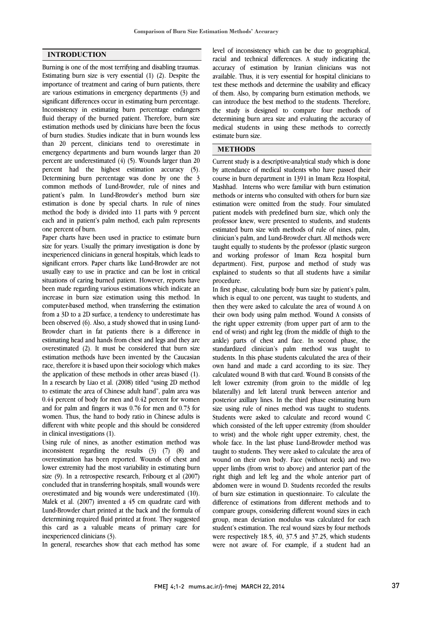#### **INTRODUCTION**

Burning is one of the most terrifying and disabling traumas. Estimating burn size is very essential (1) (2). Despite the importance of treatment and caring of burn patients, there are various estimations in emergency departments (3) and significant differences occur in estimating burn percentage. Inconsistency in estimating burn percentage endangers fluid therapy of the burned patient. Therefore, burn size estimation methods used by clinicians have been the focus of burn studies. Studies indicate that in burn wounds less than 20 percent, clinicians tend to overestimate in emergency departments and burn wounds larger than 20 percent are underestimated (4) (5). Wounds larger than 20 percent had the highest estimation accuracy (5). Determining burn percentage was done by one the 3 common methods of Lund-Browder, rule of nines and patient's palm. In Lund-Browder's method burn size estimation is done by special charts. In rule of nines method the body is divided into 11 parts with 9 percent each and in patient's palm method, each palm represents one percent of burn.

Paper charts have been used in practice to estimate burn size for years. Usually the primary investigation is done by inexperienced clinicians in general hospitals, which leads to significant errors. Paper charts like Lund-Browder are not usually easy to use in practice and can be lost in critical situations of caring burned patient. However, reports have been made regarding various estimations which indicate an increase in burn size estimation using this method. In computer-based method, when transferring the estimation from a 3D to a 2D surface, a tendency to underestimate has been observed (6). Also, a study showed that in using Lund-Browder chart in fat patients there is a difference in estimating head and hands from chest and legs and they are overestimated (2). It must be considered that burn size estimation methods have been invented by the Caucasian race, therefore it is based upon their sociology which makes the application of these methods in other areas biased (1). In a research by Liao et al. (2008) titled "using 2D method to estimate the area of Chinese adult hand", palm area was 0.44 percent of body for men and 0.42 percent for women and for palm and fingers it was 0.76 for men and 0.73 for women. Thus, the hand to body ratio in Chinese adults is different with white people and this should be considered in clinical investigations (1).

Using rule of nines, as another estimation method was inconsistent regarding the results (3) (7) (8) and overestimation has been reported. Wounds of chest and lower extremity had the most variability in estimating burn size (9). In a retrospective research, Fribourg et al (2007) concluded that in transferring hospitals, small wounds were overestimated and big wounds were underestimated (10). Malek et al. (2007) invented a 45 cm quadrate card with Lund-Browder chart printed at the back and the formula of determining required fluid printed at front. They suggested this card as a valuable means of primary care for inexperienced clinicians (3).

In general, researches show that each method has some

 level of inconsistency which can be due to geographical, racial and technical differences. A study indicating the accuracy of estimation by Iranian clinicians was not available. Thus, it is very essential for hospital clinicians to of them. Also, by comparing burn estimation methods, we can introduce the best method to the students. Therefore, the study is designed to compare four methods of determining burn area size and evaluating the accuracy of estimate burn size. test these methods and determine the usability and efficacy medical students in using these methods to correctly

### l, **METHODS**

 Current study is a descriptive-analytical study which is done course in burn department in 1391 in Imam Reza Hospital, Mashhad. Interns who were familiar with burn estimation methods or interns who consulted with others for burn size estimation were omitted from the study. Four simulated professor knew, were presented to students, and students estimated burn size with methods of rule of nines, palm, clinician's palm, and Lund-Browder chart. All methods were taught equally to students by the professor (plastic surgeon department). First, purpose and method of study was explained to students so that all students have a similar procedure. by attendance of medical students who have passed their patient models with predefined burn size, which only the and working professor of Imam Reza hospital burn

 In first phase, calculating body burn size by patient's palm, then they were asked to calculate the area of wound A on their own body using palm method. Wound A consists of the right upper extremity (from upper part of arm to the end of wrist) and right leg (from the middle of thigh to the standardized clinician's palm method was taught to students. In this phase students calculated the area of their own hand and made a card according to its size. They calculated wound B with that card. Wound B consists of the bilaterally) and left lateral trunk between anterior and posterior axillary lines. In the third phase estimating burn size using rule of nines method was taught to students. Students were asked to calculate and record wound C to wrist) and the whole right upper extremity, chest, the whole face. In the last phase Lund-Browder method was taught to students. They were asked to calculate the area of wound on their own body. Face (without neck) and two right thigh and left leg and the whole anterior part of abdomen were in wound D. Students recorded the results of burn size estimation in questionnaire. To calculate the difference of estimations from different methods and to group, mean deviation modulus was calculated for each student's estimation. The real wound sizes by four methods were respectively 18.5, 40, 37.5 and 37.25, which students were not aware of. For example, if a student had an which is equal to one percent, was taught to students, and ankle) parts of chest and face. In second phase, the left lower extremity (from groin to the middle of leg which consisted of the left upper extremity (from shoulder upper limbs (from wrist to above) and anterior part of the compare groups, considering different wound sizes in each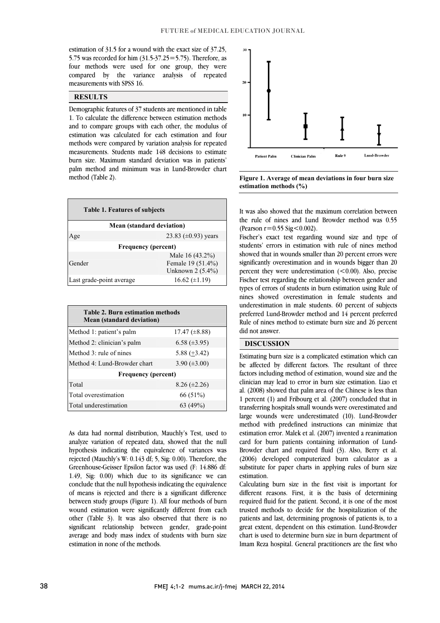֦

 estimation of 31.5 for a wound with the exact size of 37.25, 5.75 was recorded for him (31.5-37.25=5.75). Therefore, as four methods were used for one group, they were compared by the variance analysis of repeated  $\overline{a}$ measurements with SPSS 16.

#### **RESULTS**

 Demographic features of 37 students are mentioned in table and to compare groups with each other, the modulus of estimation was calculated for each estimation and four methods were compared by variation analysis for repeated measurements. Students made 148 decisions to estimate palm method and minimum was in Lund-Browder chart 1. To calculate the difference between estimation methods burn size. Maximum standard deviation was in patients' method (Table 2).

| <b>Table 1. Features of subjects</b> |                          |  |  |  |  |
|--------------------------------------|--------------------------|--|--|--|--|
| <b>Mean (standard deviation)</b>     |                          |  |  |  |  |
| Age                                  | 23.83 $(\pm 0.93)$ years |  |  |  |  |
| <b>Frequency (percent)</b>           |                          |  |  |  |  |
|                                      | Male 16 (43.2%)          |  |  |  |  |
| Gender                               | Female 19 (51.4%)        |  |  |  |  |
|                                      | Unknown 2 (5.4%)         |  |  |  |  |
| Last grade-point average             | $16.62 \ (\pm 1.19)$     |  |  |  |  |

| <b>Table 2. Burn estimation methods</b><br><b>Mean (standard deviation)</b> |                      |  |  |  |  |  |
|-----------------------------------------------------------------------------|----------------------|--|--|--|--|--|
| Method 1: patient's palm                                                    | $17.47 \ (\pm 8.88)$ |  |  |  |  |  |
| Method 2: clinician's palm                                                  | $6.58 \ (\pm 3.95)$  |  |  |  |  |  |
| Method $3$ : rule of nines                                                  | $5.88 (+3.42)$       |  |  |  |  |  |
| Method 4: Lund-Browder chart                                                | 3.90 $(\pm 3.00)$    |  |  |  |  |  |
| <b>Frequency</b> (percent)                                                  |                      |  |  |  |  |  |
| Total                                                                       | $8.26 (\pm 2.26)$    |  |  |  |  |  |
| Total overestimation                                                        | 66 (51%)             |  |  |  |  |  |
| Total underestimation                                                       | 63 (49%)             |  |  |  |  |  |

 As data had normal distribution, Mauchly's Test, used to analyze variation of repeated data, showed that the null hypothesis indicating the equivalence of variances was Greenhouse-Geisser Epsilon factor was used (F: 14.886 df: 1.49, Sig: 0.00) which due to its significance we can conclude that the null hypothesis indicating the equivalence of means is rejected and there is a significant difference wound estimation were significantly different from each other (Table 3). It was also observed that there is no significant relationship between gender, grade-point average and body mass index of students with burn size rejected (Mauchly's W: 0.143 df; 5, Sig: 0.00). Therefore, the between study groups (Figure 1). All four methods of burn estimation in none of the methods.



 **Figure 1. Average of mean deviations in four burn size estimation methods (%)**

 It was also showed that the maximum correlation between the rule of nines and Lund Browder method was 0.55 (Pearson  $r = 0.55$  Sig  $\leq 0.002$ ).

 Fischer's exact test regarding wound size and type of showed that in wounds smaller than 20 percent errors were significantly overestimation and in wounds bigger than 20 percent they were underestimation  $(<0.00)$ . Also, precise Fischer test regarding the relationship between gender and nines showed overestimation in female students and underestimation in male students. 60 percent of subjects preferred Lund-Browder method and 14 percent preferred Rule of nines method to estimate burn size and 26 percent  $\overline{a}$ students' errors in estimation with rule of nines method types of errors of students in burn estimation using Rule of did not answer.

### **DISCUSSION**

 Estimating burn size is a complicated estimation which can be affected by different factors. The resultant of three clinician may lead to error in burn size estimation. Liao et al. (2008) showed that palm area of the Chinese is less than 1 percent (1) and Fribourg et al. (2007) concluded that in transferring hospitals small wounds were overestimated and method with predefined instructions can minimize that estimation error. Malek et al. (2007) invented a reanimation card for burn patients containing information of Lund- Browder chart and required fluid (3). Also, Berry et al. substitute for paper charts in applying rules of burn size factors including method of estimation, wound size and the large wounds were underestimated (10). Lund-Browder (2006) developed computerized burn calculator as a estimation.

 Calculating burn size in the first visit is important for different reasons. First, it is the basis of determining trusted methods to decide for the hospitalization of the patients and last, determining prognosis of patients is, to a great extent, dependent on this estimation. Lund-Browder chart is used to determine burn size in burn department of Imam Reza hospital. General practitioners are the first who required fluid for the patient. Second, it is one of the most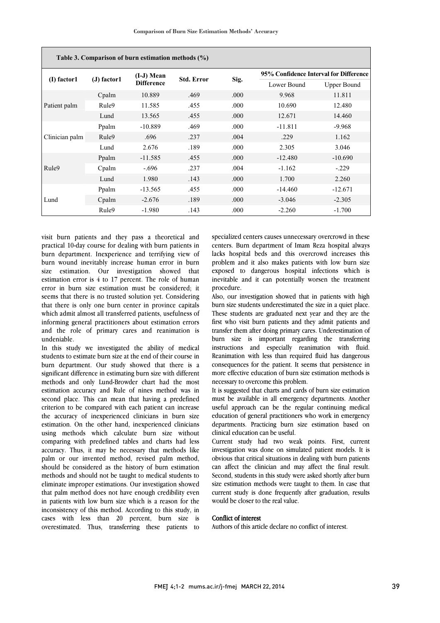| Table 3. Comparison of burn estimation methods (%) |             |                   |                   |      |                                        |                    |  |  |
|----------------------------------------------------|-------------|-------------------|-------------------|------|----------------------------------------|--------------------|--|--|
| (I) factor1                                        | (J) factor1 | $(I-J)$ Mean      | <b>Std. Error</b> | Sig. | 95% Confidence Interval for Difference |                    |  |  |
|                                                    |             | <b>Difference</b> |                   |      | Lower Bound                            | <b>Upper Bound</b> |  |  |
| Patient palm                                       | Cpalm       | 10.889            | .469              | .000 | 9.968                                  | 11.811             |  |  |
|                                                    | Rule9       | 11.585            | .455              | .000 | 10.690                                 | 12.480             |  |  |
|                                                    | Lund        | 13.565            | .455              | .000 | 12.671                                 | 14.460             |  |  |
| Clinician palm                                     | Ppalm       | $-10.889$         | .469              | .000 | $-11.811$                              | $-9.968$           |  |  |
|                                                    | Rule9       | .696              | .237              | .004 | .229                                   | 1.162              |  |  |
|                                                    | Lund        | 2.676             | .189              | .000 | 2.305                                  | 3.046              |  |  |
| Rule9                                              | Ppalm       | $-11.585$         | .455              | .000 | $-12.480$                              | $-10.690$          |  |  |
|                                                    | Cpalm       | $-.696$           | .237              | .004 | $-1.162$                               | $-.229$            |  |  |
|                                                    | Lund        | 1.980             | .143              | .000 | 1.700                                  | 2.260              |  |  |
| Lund                                               | Ppalm       | $-13.565$         | .455              | .000 | $-14.460$                              | $-12.671$          |  |  |
|                                                    | Cpalm       | $-2.676$          | .189              | .000 | $-3.046$                               | $-2.305$           |  |  |
|                                                    | Rule9       | $-1.980$          | .143              | .000 | $-2.260$                               | $-1.700$           |  |  |

visit burn patients and they pass a theoretical and practical 10-day course for dealing with burn patients in burn department. Inexperience and terrifying view of burn wound inevitably increase human error in burn size estimation. Our investigation showed that estimation error is 4 to 17 percent. The role of human error in burn size estimation must be considered; it seems that there is no trusted solution yet. Considering that there is only one burn center in province capitals which admit almost all transferred patients, usefulness of informing general practitioners about estimation errors and the role of primary cares and reanimation is undeniable.

In this study we investigated the ability of medical students to estimate burn size at the end of their course in burn department. Our study showed that there is a significant difference in estimating burn size with different methods and only Lund-Browder chart had the most estimation accuracy and Rule of nines method was in second place. This can mean that having a predefined criterion to be compared with each patient can increase the accuracy of inexperienced clinicians in burn size estimation. On the other hand, inexperienced clinicians using methods which calculate burn size without comparing with predefined tables and charts had less accuracy. Thus, it may be necessary that methods like palm or our invented method, revised palm method, should be considered as the history of burn estimation methods and should not be taught to medical students to eliminate improper estimations. Our investigation showed that palm method does not have enough credibility even in patients with low burn size which is a reason for the inconsistency of this method. According to this study, in cases with less than 20 percent, burn size is overestimated. Thus, transferring these patients to

 specialized centers causes unnecessary overcrowd in these lacks hospital beds and this overcrowd increases this problem and it also makes patients with low burn size exposed to dangerous hospital infections which is inevitable and it can potentially worsen the treatment centers. Burn department of Imam Reza hospital always procedure.

 Also, our investigation showed that in patients with high burn size students underestimated the size in a quiet place. These students are graduated next year and they are the first who visit burn patients and they admit patients and burn size is important regarding the transferring instructions and especially reanimation with fluid. Reanimation with less than required fluid has dangerous consequences for the patient. It seems that persistence in note enceive education or burn size. transfer them after doing primary cares. Underestimation of more effective education of burn size estimation methods is

 It is suggested that charts and cards of burn size estimation must be available in all emergency departments. Another useful approach can be the regular continuing medical departments. Practicing burn size estimation based on clinical education can be useful. education of general practitioners who work in emergency

 Current study had two weak points. First, current investigation was done on simulated patient models. It is can affect the clinician and may affect the final result. Second, students in this study were asked shortly after burn size estimation methods were taught to them. In case that current study is done frequently after graduation, results j obvious that critical situations in dealing with burn patients would be closer to the real value.

### Conflict of interest

Authors of this article declare no conflict of interest.